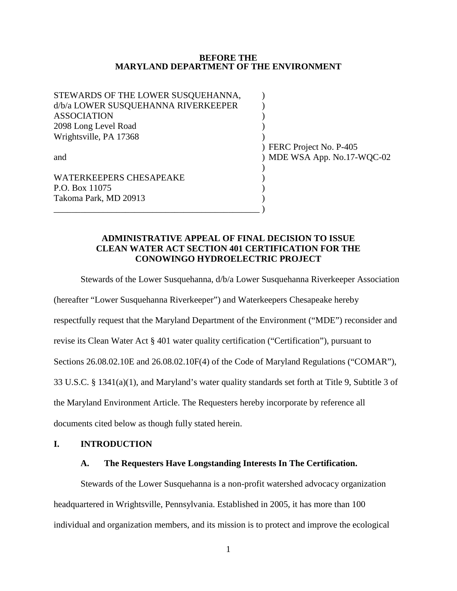#### **BEFORE THE MARYLAND DEPARTMENT OF THE ENVIRONMENT**

| STEWARDS OF THE LOWER SUSQUEHANNA,  |                             |
|-------------------------------------|-----------------------------|
| d/b/a LOWER SUSQUEHANNA RIVERKEEPER |                             |
| <b>ASSOCIATION</b>                  |                             |
| 2098 Long Level Road                |                             |
| Wrightsville, PA 17368              |                             |
|                                     | ) FERC Project No. P-405    |
| and                                 | ) MDE WSA App. No.17-WQC-02 |
|                                     |                             |
| <b>WATERKEEPERS CHESAPEAKE</b>      |                             |
| P.O. Box 11075                      |                             |
| Takoma Park, MD 20913               |                             |
|                                     |                             |

## **ADMINISTRATIVE APPEAL OF FINAL DECISION TO ISSUE CLEAN WATER ACT SECTION 401 CERTIFICATION FOR THE CONOWINGO HYDROELECTRIC PROJECT**

Stewards of the Lower Susquehanna, d/b/a Lower Susquehanna Riverkeeper Association

(hereafter "Lower Susquehanna Riverkeeper") and Waterkeepers Chesapeake hereby

respectfully request that the Maryland Department of the Environment ("MDE") reconsider and

revise its Clean Water Act § 401 water quality certification ("Certification"), pursuant to

Sections 26.08.02.10E and 26.08.02.10F(4) of the Code of Maryland Regulations ("COMAR"),

33 U.S.C. § 1341(a)(1), and Maryland's water quality standards set forth at Title 9, Subtitle 3 of

the Maryland Environment Article. The Requesters hereby incorporate by reference all

documents cited below as though fully stated herein.

### **I. INTRODUCTION**

## **A. The Requesters Have Longstanding Interests In The Certification.**

Stewards of the Lower Susquehanna is a non-profit watershed advocacy organization headquartered in Wrightsville, Pennsylvania. Established in 2005, it has more than 100 individual and organization members, and its mission is to protect and improve the ecological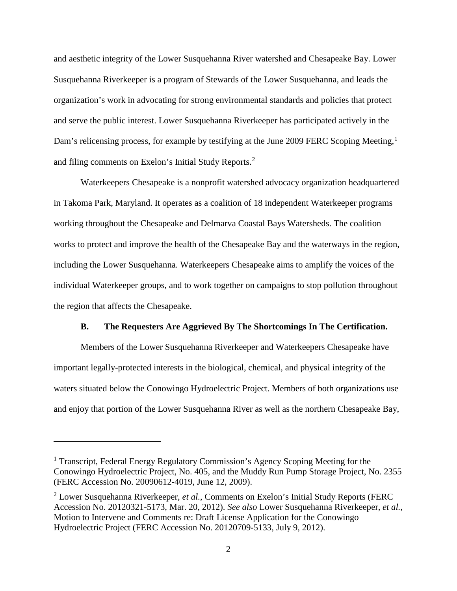and aesthetic integrity of the Lower Susquehanna River watershed and Chesapeake Bay. Lower Susquehanna Riverkeeper is a program of Stewards of the Lower Susquehanna, and leads the organization's work in advocating for strong environmental standards and policies that protect and serve the public interest. Lower Susquehanna Riverkeeper has participated actively in the Dam's relicensing process, for example by testifying at the June 2009 FERC Scoping Meeting,<sup>[1](#page-1-0)</sup> and filing comments on Exelon's Initial Study Reports. [2](#page-1-1)

Waterkeepers Chesapeake is a nonprofit watershed advocacy organization headquartered in Takoma Park, Maryland. It operates as a coalition of 18 independent Waterkeeper programs working throughout the Chesapeake and Delmarva Coastal Bays Watersheds. The coalition works to protect and improve the health of the Chesapeake Bay and the waterways in the region, including the Lower Susquehanna. Waterkeepers Chesapeake aims to amplify the voices of the individual Waterkeeper groups, and to work together on campaigns to stop pollution throughout the region that affects the Chesapeake.

#### **B. The Requesters Are Aggrieved By The Shortcomings In The Certification.**

Members of the Lower Susquehanna Riverkeeper and Waterkeepers Chesapeake have important legally-protected interests in the biological, chemical, and physical integrity of the waters situated below the Conowingo Hydroelectric Project. Members of both organizations use and enjoy that portion of the Lower Susquehanna River as well as the northern Chesapeake Bay,

<span id="page-1-0"></span><sup>1</sup> Transcript, Federal Energy Regulatory Commission's Agency Scoping Meeting for the Conowingo Hydroelectric Project, No. 405, and the Muddy Run Pump Storage Project, No. 2355 (FERC Accession No. 20090612-4019, June 12, 2009).

<span id="page-1-1"></span><sup>2</sup> Lower Susquehanna Riverkeeper, *et al.*, Comments on Exelon's Initial Study Reports (FERC Accession No. 20120321-5173, Mar. 20, 2012). *See also* Lower Susquehanna Riverkeeper, *et al.*, Motion to Intervene and Comments re: Draft License Application for the Conowingo Hydroelectric Project (FERC Accession No. 20120709-5133, July 9, 2012).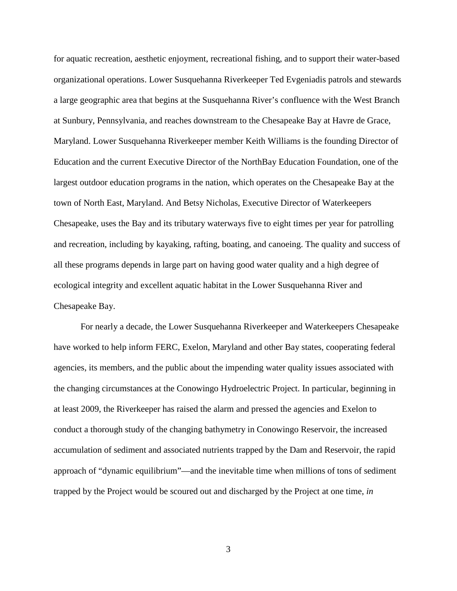for aquatic recreation, aesthetic enjoyment, recreational fishing, and to support their water-based organizational operations. Lower Susquehanna Riverkeeper Ted Evgeniadis patrols and stewards a large geographic area that begins at the Susquehanna River's confluence with the West Branch at Sunbury, Pennsylvania, and reaches downstream to the Chesapeake Bay at Havre de Grace, Maryland. Lower Susquehanna Riverkeeper member Keith Williams is the founding Director of Education and the current Executive Director of the NorthBay Education Foundation, one of the largest outdoor education programs in the nation, which operates on the Chesapeake Bay at the town of North East, Maryland. And Betsy Nicholas, Executive Director of Waterkeepers Chesapeake, uses the Bay and its tributary waterways five to eight times per year for patrolling and recreation, including by kayaking, rafting, boating, and canoeing. The quality and success of all these programs depends in large part on having good water quality and a high degree of ecological integrity and excellent aquatic habitat in the Lower Susquehanna River and Chesapeake Bay.

For nearly a decade, the Lower Susquehanna Riverkeeper and Waterkeepers Chesapeake have worked to help inform FERC, Exelon, Maryland and other Bay states, cooperating federal agencies, its members, and the public about the impending water quality issues associated with the changing circumstances at the Conowingo Hydroelectric Project. In particular, beginning in at least 2009, the Riverkeeper has raised the alarm and pressed the agencies and Exelon to conduct a thorough study of the changing bathymetry in Conowingo Reservoir, the increased accumulation of sediment and associated nutrients trapped by the Dam and Reservoir, the rapid approach of "dynamic equilibrium"—and the inevitable time when millions of tons of sediment trapped by the Project would be scoured out and discharged by the Project at one time, *in* 

3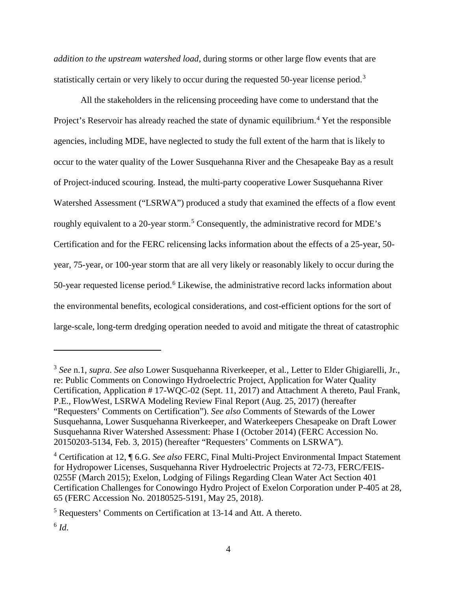*addition to the upstream watershed load*, during storms or other large flow events that are statistically certain or very likely to occur during the requested 50-year license period.<sup>[3](#page-3-0)</sup>

All the stakeholders in the relicensing proceeding have come to understand that the Project's Reservoir has already reached the state of dynamic equilibrium.<sup>[4](#page-3-1)</sup> Yet the responsible agencies, including MDE, have neglected to study the full extent of the harm that is likely to occur to the water quality of the Lower Susquehanna River and the Chesapeake Bay as a result of Project-induced scouring. Instead, the multi-party cooperative Lower Susquehanna River Watershed Assessment ("LSRWA") produced a study that examined the effects of a flow event roughly equivalent to a 20-year storm.<sup>[5](#page-3-2)</sup> Consequently, the administrative record for MDE's Certification and for the FERC relicensing lacks information about the effects of a 25-year, 50 year, 75-year, or 100-year storm that are all very likely or reasonably likely to occur during the 50-year requested license period.<sup>[6](#page-3-3)</sup> Likewise, the administrative record lacks information about the environmental benefits, ecological considerations, and cost-efficient options for the sort of large-scale, long-term dredging operation needed to avoid and mitigate the threat of catastrophic

<span id="page-3-0"></span><sup>3</sup> *See* n.1, *supra*. *See also* Lower Susquehanna Riverkeeper, et al*.*, Letter to Elder Ghigiarelli, Jr., re: Public Comments on Conowingo Hydroelectric Project, Application for Water Quality Certification, Application # 17-WQC-02 (Sept. 11, 2017) and Attachment A thereto, Paul Frank, P.E., FlowWest, LSRWA Modeling Review Final Report (Aug. 25, 2017) (hereafter "Requesters' Comments on Certification"). *See also* Comments of Stewards of the Lower Susquehanna, Lower Susquehanna Riverkeeper, and Waterkeepers Chesapeake on Draft Lower Susquehanna River Watershed Assessment: Phase I (October 2014) (FERC Accession No. 20150203-5134, Feb. 3, 2015) (hereafter "Requesters' Comments on LSRWA").

<span id="page-3-1"></span><sup>4</sup> Certification at 12, ¶ 6.G. *See also* FERC, Final Multi-Project Environmental Impact Statement for Hydropower Licenses, Susquehanna River Hydroelectric Projects at 72-73, FERC/FEIS-0255F (March 2015); Exelon, Lodging of Filings Regarding Clean Water Act Section 401 Certification Challenges for Conowingo Hydro Project of Exelon Corporation under P-405 at 28, 65 (FERC Accession No. 20180525-5191, May 25, 2018).

<span id="page-3-2"></span><sup>5</sup> Requesters' Comments on Certification at 13-14 and Att. A thereto.

<span id="page-3-3"></span> $6$   $Id$ .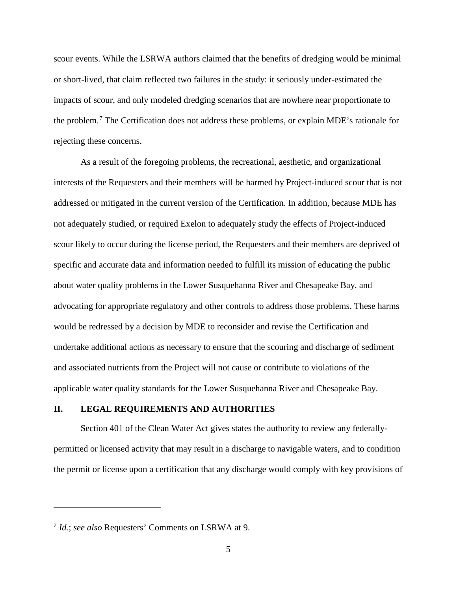scour events. While the LSRWA authors claimed that the benefits of dredging would be minimal or short-lived, that claim reflected two failures in the study: it seriously under-estimated the impacts of scour, and only modeled dredging scenarios that are nowhere near proportionate to the problem.[7](#page-4-0) The Certification does not address these problems, or explain MDE's rationale for rejecting these concerns.

As a result of the foregoing problems, the recreational, aesthetic, and organizational interests of the Requesters and their members will be harmed by Project-induced scour that is not addressed or mitigated in the current version of the Certification. In addition, because MDE has not adequately studied, or required Exelon to adequately study the effects of Project-induced scour likely to occur during the license period, the Requesters and their members are deprived of specific and accurate data and information needed to fulfill its mission of educating the public about water quality problems in the Lower Susquehanna River and Chesapeake Bay, and advocating for appropriate regulatory and other controls to address those problems. These harms would be redressed by a decision by MDE to reconsider and revise the Certification and undertake additional actions as necessary to ensure that the scouring and discharge of sediment and associated nutrients from the Project will not cause or contribute to violations of the applicable water quality standards for the Lower Susquehanna River and Chesapeake Bay.

### **II. LEGAL REQUIREMENTS AND AUTHORITIES**

Section 401 of the Clean Water Act gives states the authority to review any federallypermitted or licensed activity that may result in a discharge to navigable waters, and to condition the permit or license upon a certification that any discharge would comply with key provisions of

<span id="page-4-0"></span><sup>7</sup> *Id.*; *see also* Requesters' Comments on LSRWA at 9.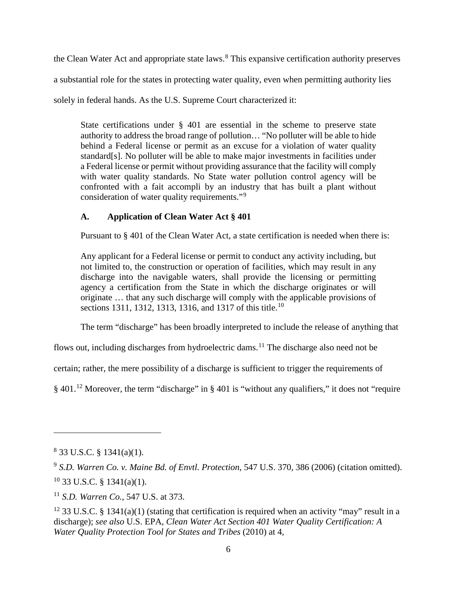the Clean Water Act and appropriate state laws.<sup>[8](#page-5-0)</sup> This expansive certification authority preserves

a substantial role for the states in protecting water quality, even when permitting authority lies

solely in federal hands. As the U.S. Supreme Court characterized it:

State certifications under § 401 are essential in the scheme to preserve state authority to address the broad range of pollution… "No polluter will be able to hide behind a Federal license or permit as an excuse for a violation of water quality standard[s]. No polluter will be able to make major investments in facilities under a Federal license or permit without providing assurance that the facility will comply with water quality standards. No State water pollution control agency will be confronted with a fait accompli by an industry that has built a plant without consideration of water quality requirements."[9](#page-5-1)

# **A. Application of Clean Water Act § 401**

Pursuant to § 401 of the Clean Water Act, a state certification is needed when there is:

Any applicant for a Federal license or permit to conduct any activity including, but not limited to, the construction or operation of facilities, which may result in any discharge into the navigable waters, shall provide the licensing or permitting agency a certification from the State in which the discharge originates or will originate … that any such discharge will comply with the applicable provisions of sections 1311, 1312, 1313, 1316, and 1317 of this title.<sup>[10](#page-5-2)</sup>

The term "discharge" has been broadly interpreted to include the release of anything that

flows out, including discharges from hydroelectric dams.[11](#page-5-3) The discharge also need not be

certain; rather, the mere possibility of a discharge is sufficient to trigger the requirements of

§ 401.[12](#page-5-4) Moreover, the term "discharge" in § 401 is "without any qualifiers," it does not "require

<span id="page-5-0"></span><sup>8</sup> 33 U.S.C. § 1341(a)(1).

<span id="page-5-2"></span><span id="page-5-1"></span><sup>9</sup> *S.D. Warren Co. v. Maine Bd. of Envtl. Protection*, 547 U.S. 370, 386 (2006) (citation omitted).  $10$  33 U.S.C. § 1341(a)(1).

<span id="page-5-3"></span><sup>11</sup> *S.D. Warren Co.*, 547 U.S. at 373.

<span id="page-5-4"></span><sup>&</sup>lt;sup>12</sup> 33 U.S.C. § 1341(a)(1) (stating that certification is required when an activity "may" result in a discharge); *see also* U.S. EPA, *Clean Water Act Section 401 Water Quality Certification: A Water Quality Protection Tool for States and Tribes* (2010) at 4,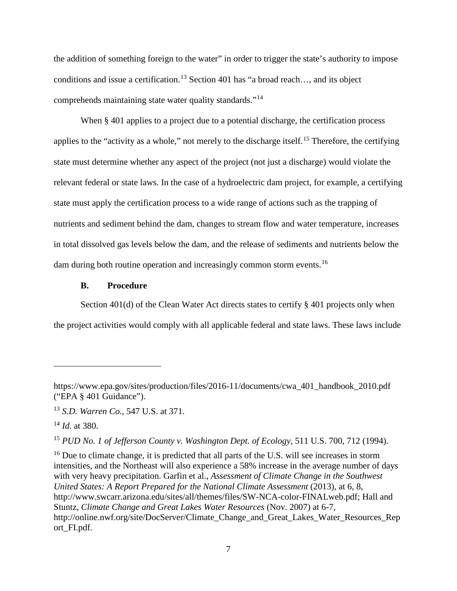the addition of something foreign to the water" in order to trigger the state's authority to impose conditions and issue a certification.[13](#page-6-0) Section 401 has "a broad reach…, and its object comprehends maintaining state water quality standards."[14](#page-6-1)

When § 401 applies to a project due to a potential discharge, the certification process applies to the "activity as a whole," not merely to the discharge itself.[15](#page-6-2) Therefore, the certifying state must determine whether any aspect of the project (not just a discharge) would violate the relevant federal or state laws. In the case of a hydroelectric dam project, for example, a certifying state must apply the certification process to a wide range of actions such as the trapping of nutrients and sediment behind the dam, changes to stream flow and water temperature, increases in total dissolved gas levels below the dam, and the release of sediments and nutrients below the dam during both routine operation and increasingly common storm events.<sup>[16](#page-6-3)</sup>

## **B. Procedure**

Section 401(d) of the Clean Water Act directs states to certify § 401 projects only when the project activities would comply with all applicable federal and state laws. These laws include

 $\overline{a}$ 

<span id="page-6-2"></span><sup>15</sup> *PUD No. 1 of Jefferson County v. Washington Dept. of Ecology*, 511 U.S. 700, 712 (1994).

<span id="page-6-3"></span><sup>16</sup> Due to climate change, it is predicted that all parts of the U.S. will see increases in storm intensities, and the Northeast will also experience a 58% increase in the average number of days with very heavy precipitation. Garfin et al., *Assessment of Climate Change in the Southwest United States: A Report Prepared for the National Climate Assessment* (2013), at 6, 8, http://www.swcarr.arizona.edu/sites/all/themes/files/SW-NCA-color-FINALweb.pdf; Hall and Stuntz, *Climate Change and Great Lakes Water Resources* (Nov. 2007) at 6-7, http://online.nwf.org/site/DocServer/Climate\_Change\_and\_Great\_Lakes\_Water\_Resources\_Rep ort\_FI.pdf.

https://www.epa.gov/sites/production/files/2016-11/documents/cwa\_401\_handbook\_2010.pdf ("EPA § 401 Guidance").

<span id="page-6-0"></span><sup>13</sup> *S.D. Warren Co.*, 547 U.S. at 371.

<span id="page-6-1"></span><sup>14</sup> *Id*. at 380.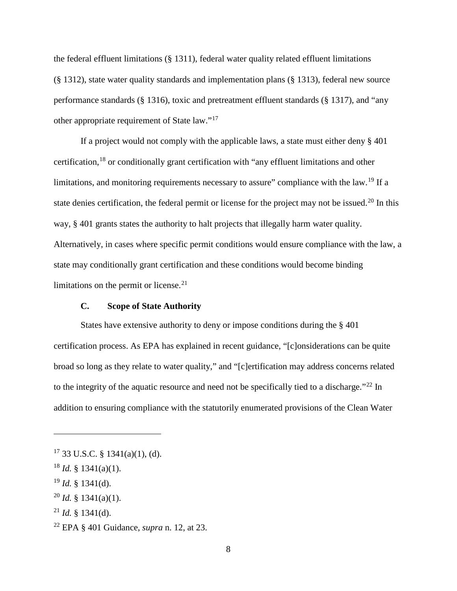the federal effluent limitations (§ 1311), federal water quality related effluent limitations (§ 1312), state water quality standards and implementation plans (§ 1313), federal new source performance standards (§ 1316), toxic and pretreatment effluent standards (§ 1317), and "any other appropriate requirement of State law."[17](#page-7-0)

If a project would not comply with the applicable laws, a state must either deny § 401 certification,[18](#page-7-1) or conditionally grant certification with "any effluent limitations and other limitations, and monitoring requirements necessary to assure" compliance with the law.[19](#page-7-2) If a state denies certification, the federal permit or license for the project may not be issued.<sup>[20](#page-7-3)</sup> In this way, § 401 grants states the authority to halt projects that illegally harm water quality. Alternatively, in cases where specific permit conditions would ensure compliance with the law, a state may conditionally grant certification and these conditions would become binding limitations on the permit or license. $21$ 

## **C. Scope of State Authority**

States have extensive authority to deny or impose conditions during the § 401 certification process. As EPA has explained in recent guidance, "[c]onsiderations can be quite broad so long as they relate to water quality," and "[c]ertification may address concerns related to the integrity of the aquatic resource and need not be specifically tied to a discharge."<sup>[22](#page-7-5)</sup> In addition to ensuring compliance with the statutorily enumerated provisions of the Clean Water

<span id="page-7-0"></span> $17$  33 U.S.C. § 1341(a)(1), (d).

<span id="page-7-1"></span><sup>18</sup> *Id.* § 1341(a)(1).

<span id="page-7-2"></span><sup>19</sup> *Id.* § 1341(d).

<span id="page-7-3"></span> $^{20}$  *Id.* § 1341(a)(1).

<span id="page-7-4"></span> $^{21}$  *Id.* § 1341(d).

<span id="page-7-5"></span><sup>22</sup> EPA § 401 Guidance, *supra* n. 12, at 23.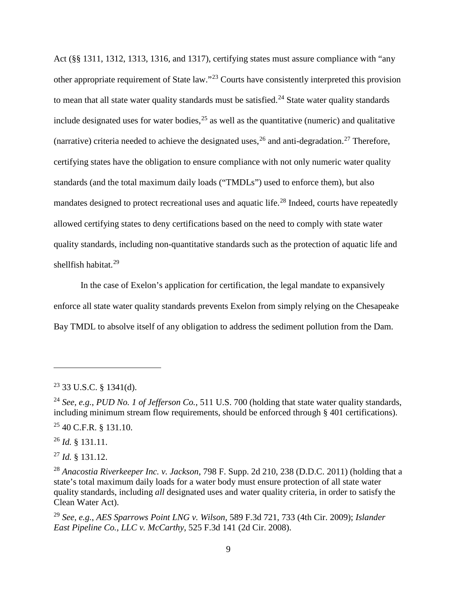Act (§§ 1311, 1312, 1313, 1316, and 1317), certifying states must assure compliance with "any other appropriate requirement of State law."[23](#page-8-0) Courts have consistently interpreted this provision to mean that all state water quality standards must be satisfied.<sup>[24](#page-8-1)</sup> State water quality standards include designated uses for water bodies,  $2<sup>5</sup>$  as well as the quantitative (numeric) and qualitative (narrative) criteria needed to achieve the designated uses,  $^{26}$  $^{26}$  $^{26}$  and anti-degradation.<sup>[27](#page-8-4)</sup> Therefore, certifying states have the obligation to ensure compliance with not only numeric water quality standards (and the total maximum daily loads ("TMDLs") used to enforce them), but also mandates designed to protect recreational uses and aquatic life.<sup>[28](#page-8-5)</sup> Indeed, courts have repeatedly allowed certifying states to deny certifications based on the need to comply with state water quality standards, including non-quantitative standards such as the protection of aquatic life and shellfish habitat.[29](#page-8-6)

In the case of Exelon's application for certification, the legal mandate to expansively enforce all state water quality standards prevents Exelon from simply relying on the Chesapeake Bay TMDL to absolve itself of any obligation to address the sediment pollution from the Dam.

<span id="page-8-3"></span><sup>26</sup> *Id.* § 131.11.

 $\overline{a}$ 

<span id="page-8-4"></span><sup>27</sup> *Id.* § 131.12.

<span id="page-8-6"></span><sup>29</sup> *See, e.g.*, *AES Sparrows Point LNG v. Wilson*, 589 F.3d 721, 733 (4th Cir. 2009); *Islander East Pipeline Co., LLC v. McCarthy*, 525 F.3d 141 (2d Cir. 2008).

<span id="page-8-0"></span><sup>23</sup> 33 U.S.C. § 1341(d).

<span id="page-8-1"></span><sup>24</sup> *See, e.g.*, *PUD No. 1 of Jefferson Co.*, 511 U.S. 700 (holding that state water quality standards, including minimum stream flow requirements, should be enforced through § 401 certifications).

<span id="page-8-2"></span><sup>25</sup> 40 C.F.R. § 131.10.

<span id="page-8-5"></span><sup>28</sup> *Anacostia Riverkeeper Inc. v. Jackson*, 798 F. Supp. 2d 210, 238 (D.D.C. 2011) (holding that a state's total maximum daily loads for a water body must ensure protection of all state water quality standards, including *all* designated uses and water quality criteria, in order to satisfy the Clean Water Act).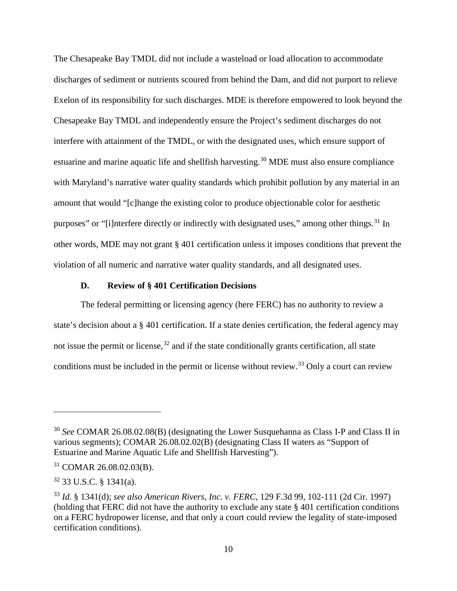The Chesapeake Bay TMDL did not include a wasteload or load allocation to accommodate discharges of sediment or nutrients scoured from behind the Dam, and did not purport to relieve Exelon of its responsibility for such discharges. MDE is therefore empowered to look beyond the Chesapeake Bay TMDL and independently ensure the Project's sediment discharges do not interfere with attainment of the TMDL, or with the designated uses, which ensure support of estuarine and marine aquatic life and shellfish harvesting.<sup>[30](#page-9-0)</sup> MDE must also ensure compliance with Maryland's narrative water quality standards which prohibit pollution by any material in an amount that would "[c]hange the existing color to produce objectionable color for aesthetic purposes" or "[i]nterfere directly or indirectly with designated uses," among other things.<sup>[31](#page-9-1)</sup> In other words, MDE may not grant § 401 certification unless it imposes conditions that prevent the violation of all numeric and narrative water quality standards, and all designated uses.

#### **D. Review of § 401 Certification Decisions**

The federal permitting or licensing agency (here FERC) has no authority to review a state's decision about a § 401 certification. If a state denies certification, the federal agency may not issue the permit or license, $32$  and if the state conditionally grants certification, all state conditions must be included in the permit or license without review.<sup>[33](#page-9-3)</sup> Only a court can review

<span id="page-9-0"></span><sup>&</sup>lt;sup>30</sup> See COMAR 26.08.02.08(B) (designating the Lower Susquehanna as Class I-P and Class II in various segments); COMAR 26.08.02.02(B) (designating Class II waters as "Support of Estuarine and Marine Aquatic Life and Shellfish Harvesting").

<span id="page-9-1"></span> $31$  COMAR 26.08.02.03(B).

<span id="page-9-2"></span> $32$  33 U.S.C. § 1341(a).

<span id="page-9-3"></span><sup>33</sup> *Id.* § 1341(d); *see also American Rivers, Inc. v. FERC*, 129 F.3d 99, 102-111 (2d Cir. 1997) (holding that FERC did not have the authority to exclude any state § 401 certification conditions on a FERC hydropower license, and that only a court could review the legality of state-imposed certification conditions).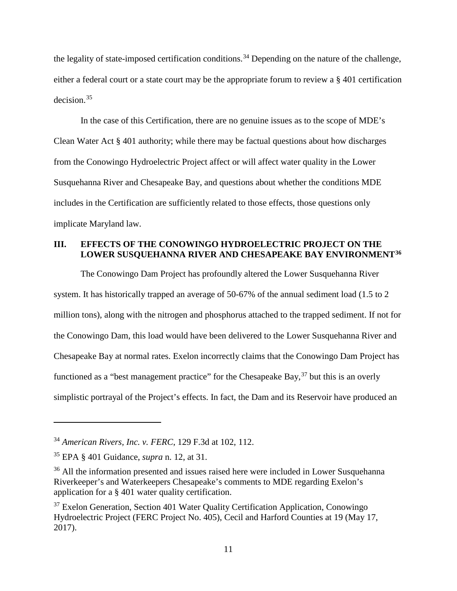the legality of state-imposed certification conditions.<sup>[34](#page-10-0)</sup> Depending on the nature of the challenge, either a federal court or a state court may be the appropriate forum to review a § 401 certification decision.[35](#page-10-1)

In the case of this Certification, there are no genuine issues as to the scope of MDE's Clean Water Act § 401 authority; while there may be factual questions about how discharges from the Conowingo Hydroelectric Project affect or will affect water quality in the Lower Susquehanna River and Chesapeake Bay, and questions about whether the conditions MDE includes in the Certification are sufficiently related to those effects, those questions only implicate Maryland law.

## **III. EFFECTS OF THE CONOWINGO HYDROELECTRIC PROJECT ON THE LOWER SUSQUEHANNA RIVER AND CHESAPEAKE BAY ENVIRONMENT[36](#page-10-2)**

The Conowingo Dam Project has profoundly altered the Lower Susquehanna River system. It has historically trapped an average of 50-67% of the annual sediment load (1.5 to 2 million tons), along with the nitrogen and phosphorus attached to the trapped sediment. If not for the Conowingo Dam, this load would have been delivered to the Lower Susquehanna River and Chesapeake Bay at normal rates. Exelon incorrectly claims that the Conowingo Dam Project has functioned as a "best management practice" for the Chesapeake Bay,  $37$  but this is an overly simplistic portrayal of the Project's effects. In fact, the Dam and its Reservoir have produced an

<span id="page-10-0"></span><sup>34</sup> *American Rivers, Inc. v. FERC*, 129 F.3d at 102, 112.

<span id="page-10-1"></span><sup>35</sup> EPA § 401 Guidance, *supra* n. 12, at 31.

<span id="page-10-2"></span><sup>&</sup>lt;sup>36</sup> All the information presented and issues raised here were included in Lower Susquehanna Riverkeeper's and Waterkeepers Chesapeake's comments to MDE regarding Exelon's application for a § 401 water quality certification.

<span id="page-10-3"></span><sup>37</sup> Exelon Generation, Section 401 Water Quality Certification Application, Conowingo Hydroelectric Project (FERC Project No. 405), Cecil and Harford Counties at 19 (May 17, 2017).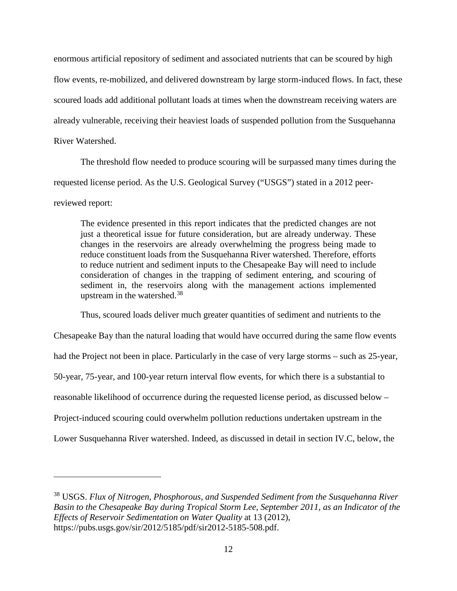enormous artificial repository of sediment and associated nutrients that can be scoured by high flow events, re-mobilized, and delivered downstream by large storm-induced flows. In fact, these scoured loads add additional pollutant loads at times when the downstream receiving waters are already vulnerable, receiving their heaviest loads of suspended pollution from the Susquehanna River Watershed.

The threshold flow needed to produce scouring will be surpassed many times during the requested license period. As the U.S. Geological Survey ("USGS") stated in a 2012 peerreviewed report:

The evidence presented in this report indicates that the predicted changes are not just a theoretical issue for future consideration, but are already underway. These changes in the reservoirs are already overwhelming the progress being made to reduce constituent loads from the Susquehanna River watershed. Therefore, efforts to reduce nutrient and sediment inputs to the Chesapeake Bay will need to include consideration of changes in the trapping of sediment entering, and scouring of sediment in, the reservoirs along with the management actions implemented upstream in the watershed.<sup>[38](#page-11-0)</sup>

Thus, scoured loads deliver much greater quantities of sediment and nutrients to the Chesapeake Bay than the natural loading that would have occurred during the same flow events had the Project not been in place. Particularly in the case of very large storms – such as 25-year, 50-year, 75-year, and 100-year return interval flow events, for which there is a substantial to reasonable likelihood of occurrence during the requested license period, as discussed below – Project-induced scouring could overwhelm pollution reductions undertaken upstream in the Lower Susquehanna River watershed. Indeed, as discussed in detail in section IV.C, below, the

<span id="page-11-0"></span><sup>38</sup> USGS. *Flux of Nitrogen, Phosphorous, and Suspended Sediment from the Susquehanna River Basin to the Chesapeake Bay during Tropical Storm Lee, September 2011, as an Indicator of the Effects of Reservoir Sedimentation on Water Quality* at 13 (2012), https://pubs.usgs.gov/sir/2012/5185/pdf/sir2012-5185-508.pdf.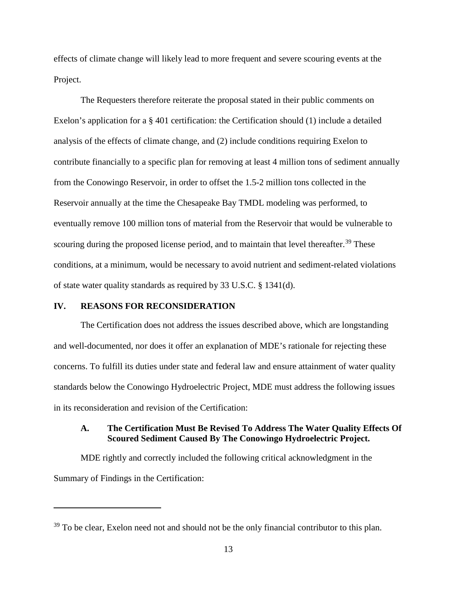effects of climate change will likely lead to more frequent and severe scouring events at the Project.

The Requesters therefore reiterate the proposal stated in their public comments on Exelon's application for a  $\S$  401 certification: the Certification should (1) include a detailed analysis of the effects of climate change, and (2) include conditions requiring Exelon to contribute financially to a specific plan for removing at least 4 million tons of sediment annually from the Conowingo Reservoir, in order to offset the 1.5-2 million tons collected in the Reservoir annually at the time the Chesapeake Bay TMDL modeling was performed, to eventually remove 100 million tons of material from the Reservoir that would be vulnerable to scouring during the proposed license period, and to maintain that level thereafter.<sup>[39](#page-12-0)</sup> These conditions, at a minimum, would be necessary to avoid nutrient and sediment-related violations of state water quality standards as required by 33 U.S.C. § 1341(d).

#### **IV. REASONS FOR RECONSIDERATION**

 $\overline{a}$ 

The Certification does not address the issues described above, which are longstanding and well-documented, nor does it offer an explanation of MDE's rationale for rejecting these concerns. To fulfill its duties under state and federal law and ensure attainment of water quality standards below the Conowingo Hydroelectric Project, MDE must address the following issues in its reconsideration and revision of the Certification:

### **A. The Certification Must Be Revised To Address The Water Quality Effects Of Scoured Sediment Caused By The Conowingo Hydroelectric Project.**

MDE rightly and correctly included the following critical acknowledgment in the Summary of Findings in the Certification:

<span id="page-12-0"></span> $39$  To be clear, Exelon need not and should not be the only financial contributor to this plan.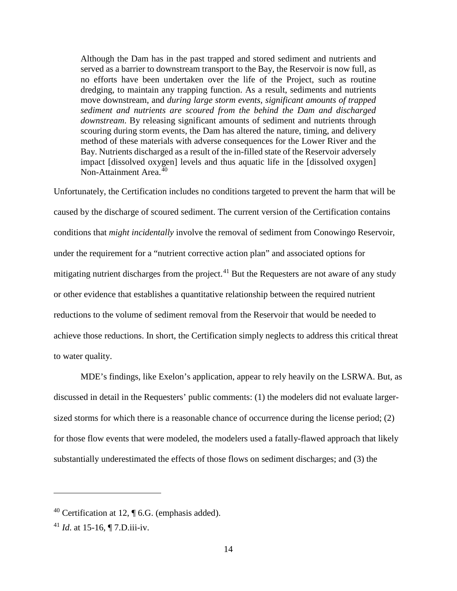Although the Dam has in the past trapped and stored sediment and nutrients and served as a barrier to downstream transport to the Bay, the Reservoir is now full, as no efforts have been undertaken over the life of the Project, such as routine dredging, to maintain any trapping function. As a result, sediments and nutrients move downstream, and *during large storm events, significant amounts of trapped sediment and nutrients are scoured from the behind the Dam and discharged downstream*. By releasing significant amounts of sediment and nutrients through scouring during storm events, the Dam has altered the nature, timing, and delivery method of these materials with adverse consequences for the Lower River and the Bay. Nutrients discharged as a result of the in-filled state of the Reservoir adversely impact [dissolved oxygen] levels and thus aquatic life in the [dissolved oxygen] Non-Attainment Area.<sup>[40](#page-13-0)</sup>

Unfortunately, the Certification includes no conditions targeted to prevent the harm that will be caused by the discharge of scoured sediment. The current version of the Certification contains conditions that *might incidentally* involve the removal of sediment from Conowingo Reservoir, under the requirement for a "nutrient corrective action plan" and associated options for mitigating nutrient discharges from the project.<sup>[41](#page-13-1)</sup> But the Requesters are not aware of any study or other evidence that establishes a quantitative relationship between the required nutrient reductions to the volume of sediment removal from the Reservoir that would be needed to achieve those reductions. In short, the Certification simply neglects to address this critical threat to water quality.

MDE's findings, like Exelon's application, appear to rely heavily on the LSRWA. But, as discussed in detail in the Requesters' public comments: (1) the modelers did not evaluate largersized storms for which there is a reasonable chance of occurrence during the license period; (2) for those flow events that were modeled, the modelers used a fatally-flawed approach that likely substantially underestimated the effects of those flows on sediment discharges; and (3) the

<span id="page-13-0"></span><sup>&</sup>lt;sup>40</sup> Certification at 12,  $\P$  6.G. (emphasis added).

<span id="page-13-1"></span><sup>41</sup> *Id*. at 15-16, ¶ 7.D.iii-iv.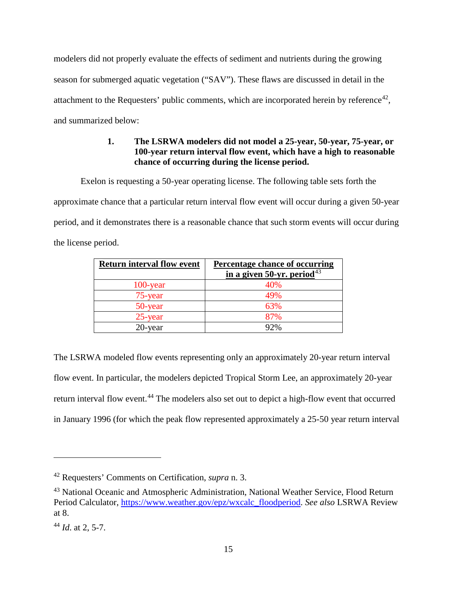modelers did not properly evaluate the effects of sediment and nutrients during the growing season for submerged aquatic vegetation ("SAV"). These flaws are discussed in detail in the attachment to the Requesters' public comments, which are incorporated herein by reference<sup>[42](#page-14-0)</sup>, and summarized below:

# **1. The LSRWA modelers did not model a 25-year, 50-year, 75-year, or 100-year return interval flow event, which have a high to reasonable chance of occurring during the license period.**

Exelon is requesting a 50-year operating license. The following table sets forth the

approximate chance that a particular return interval flow event will occur during a given 50-year period, and it demonstrates there is a reasonable chance that such storm events will occur during the license period.

| <b>Return interval flow event</b> | <b>Percentage chance of occurring</b><br>in a given 50-yr. period <sup>43</sup> |
|-----------------------------------|---------------------------------------------------------------------------------|
| $100$ -year                       | 40%                                                                             |
| 75-year                           | 49%                                                                             |
| 50-year                           | 63%                                                                             |
| 25-year                           | 87%                                                                             |
| 20-year                           | 92%                                                                             |

The LSRWA modeled flow events representing only an approximately 20-year return interval flow event. In particular, the modelers depicted Tropical Storm Lee, an approximately 20-year return interval flow event.<sup>[44](#page-14-2)</sup> The modelers also set out to depict a high-flow event that occurred in January 1996 (for which the peak flow represented approximately a 25-50 year return interval

<span id="page-14-0"></span><sup>42</sup> Requesters' Comments on Certification, *supra* n. 3.

<span id="page-14-1"></span><sup>43</sup> National Oceanic and Atmospheric Administration, National Weather Service, Flood Return Period Calculator, [https://www.weather.gov/epz/wxcalc\\_floodperiod.](https://www.weather.gov/epz/wxcalc_floodperiod) *See also* LSRWA Review at 8.

<span id="page-14-2"></span><sup>44</sup> *Id*. at 2, 5-7.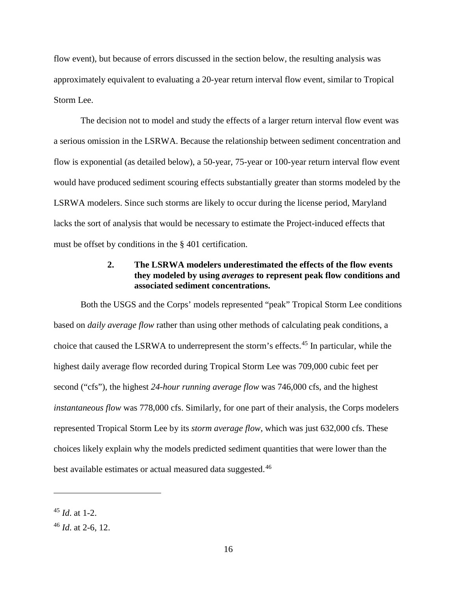flow event), but because of errors discussed in the section below, the resulting analysis was approximately equivalent to evaluating a 20-year return interval flow event, similar to Tropical Storm Lee.

The decision not to model and study the effects of a larger return interval flow event was a serious omission in the LSRWA. Because the relationship between sediment concentration and flow is exponential (as detailed below), a 50-year, 75-year or 100-year return interval flow event would have produced sediment scouring effects substantially greater than storms modeled by the LSRWA modelers. Since such storms are likely to occur during the license period, Maryland lacks the sort of analysis that would be necessary to estimate the Project-induced effects that must be offset by conditions in the § 401 certification.

## **2. The LSRWA modelers underestimated the effects of the flow events they modeled by using** *averages* **to represent peak flow conditions and associated sediment concentrations.**

Both the USGS and the Corps' models represented "peak" Tropical Storm Lee conditions based on *daily average flow* rather than using other methods of calculating peak conditions, a choice that caused the LSRWA to underrepresent the storm's effects.[45](#page-15-0) In particular, while the highest daily average flow recorded during Tropical Storm Lee was 709,000 cubic feet per second ("cfs"), the highest *24-hour running average flow* was 746,000 cfs, and the highest *instantaneous flow* was 778,000 cfs. Similarly, for one part of their analysis, the Corps modelers represented Tropical Storm Lee by its *storm average flow*, which was just 632,000 cfs. These choices likely explain why the models predicted sediment quantities that were lower than the best available estimates or actual measured data suggested.<sup>[46](#page-15-1)</sup>

<span id="page-15-0"></span><sup>45</sup> *Id*. at 1-2.

<span id="page-15-1"></span><sup>46</sup> *Id*. at 2-6, 12.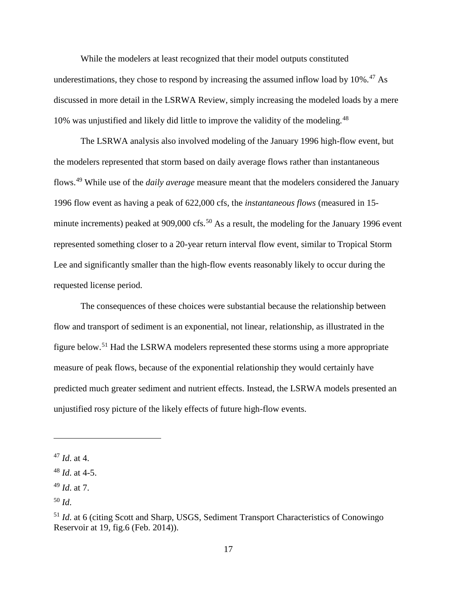While the modelers at least recognized that their model outputs constituted underestimations, they chose to respond by increasing the assumed inflow load by  $10\%$ .<sup>[47](#page-16-0)</sup> As discussed in more detail in the LSRWA Review, simply increasing the modeled loads by a mere 10% was unjustified and likely did little to improve the validity of the modeling.<sup>[48](#page-16-1)</sup>

The LSRWA analysis also involved modeling of the January 1996 high-flow event, but the modelers represented that storm based on daily average flows rather than instantaneous flows.[49](#page-16-2) While use of the *daily average* measure meant that the modelers considered the January 1996 flow event as having a peak of 622,000 cfs, the *instantaneous flows* (measured in 15- minute increments) peaked at 909,000 cfs.<sup>[50](#page-16-3)</sup> As a result, the modeling for the January 1996 event represented something closer to a 20-year return interval flow event, similar to Tropical Storm Lee and significantly smaller than the high-flow events reasonably likely to occur during the requested license period.

The consequences of these choices were substantial because the relationship between flow and transport of sediment is an exponential, not linear, relationship, as illustrated in the figure below.<sup>[51](#page-16-4)</sup> Had the LSRWA modelers represented these storms using a more appropriate measure of peak flows, because of the exponential relationship they would certainly have predicted much greater sediment and nutrient effects. Instead, the LSRWA models presented an unjustified rosy picture of the likely effects of future high-flow events.

<span id="page-16-0"></span><sup>47</sup> *Id*. at 4.

<span id="page-16-1"></span><sup>48</sup> *Id*. at 4-5.

<span id="page-16-2"></span><sup>49</sup> *Id*. at 7.

<span id="page-16-3"></span><sup>50</sup> *Id*.

<span id="page-16-4"></span><sup>51</sup> *Id*. at 6 (citing Scott and Sharp, USGS, Sediment Transport Characteristics of Conowingo Reservoir at 19, fig.6 (Feb. 2014)).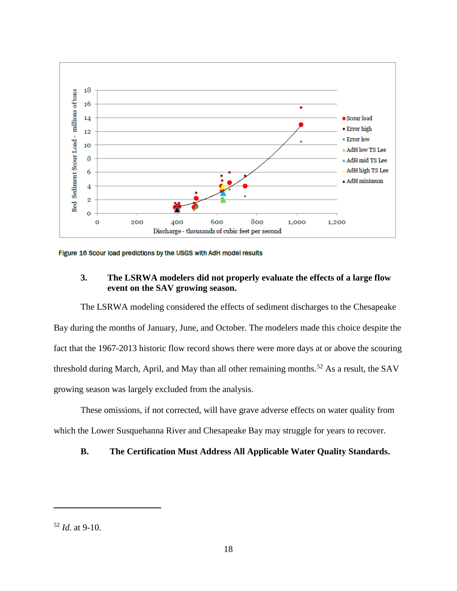

Figure 16 Scour load predictions by the USGS with AdH model results

## **3. The LSRWA modelers did not properly evaluate the effects of a large flow event on the SAV growing season.**

The LSRWA modeling considered the effects of sediment discharges to the Chesapeake Bay during the months of January, June, and October. The modelers made this choice despite the fact that the 1967-2013 historic flow record shows there were more days at or above the scouring threshold during March, April, and May than all other remaining months.<sup>[52](#page-17-0)</sup> As a result, the SAV growing season was largely excluded from the analysis.

These omissions, if not corrected, will have grave adverse effects on water quality from which the Lower Susquehanna River and Chesapeake Bay may struggle for years to recover.

## **B. The Certification Must Address All Applicable Water Quality Standards.**

<span id="page-17-0"></span><sup>52</sup> *Id*. at 9-10.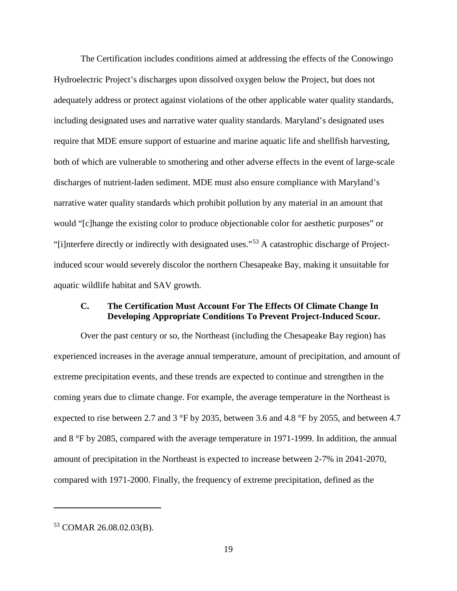The Certification includes conditions aimed at addressing the effects of the Conowingo Hydroelectric Project's discharges upon dissolved oxygen below the Project, but does not adequately address or protect against violations of the other applicable water quality standards, including designated uses and narrative water quality standards. Maryland's designated uses require that MDE ensure support of estuarine and marine aquatic life and shellfish harvesting, both of which are vulnerable to smothering and other adverse effects in the event of large-scale discharges of nutrient-laden sediment. MDE must also ensure compliance with Maryland's narrative water quality standards which prohibit pollution by any material in an amount that would "[c]hange the existing color to produce objectionable color for aesthetic purposes" or "[i]nterfere directly or indirectly with designated uses."[53](#page-18-0) A catastrophic discharge of Projectinduced scour would severely discolor the northern Chesapeake Bay, making it unsuitable for aquatic wildlife habitat and SAV growth.

## **C. The Certification Must Account For The Effects Of Climate Change In Developing Appropriate Conditions To Prevent Project-Induced Scour.**

Over the past century or so, the Northeast (including the Chesapeake Bay region) has experienced increases in the average annual temperature, amount of precipitation, and amount of extreme precipitation events, and these trends are expected to continue and strengthen in the coming years due to climate change. For example, the average temperature in the Northeast is expected to rise between 2.7 and 3 °F by 2035, between 3.6 and 4.8 °F by 2055, and between 4.7 and 8 °F by 2085, compared with the average temperature in 1971-1999. In addition, the annual amount of precipitation in the Northeast is expected to increase between 2-7% in 2041-2070, compared with 1971-2000. Finally, the frequency of extreme precipitation, defined as the

<span id="page-18-0"></span><sup>53</sup> COMAR 26.08.02.03(B).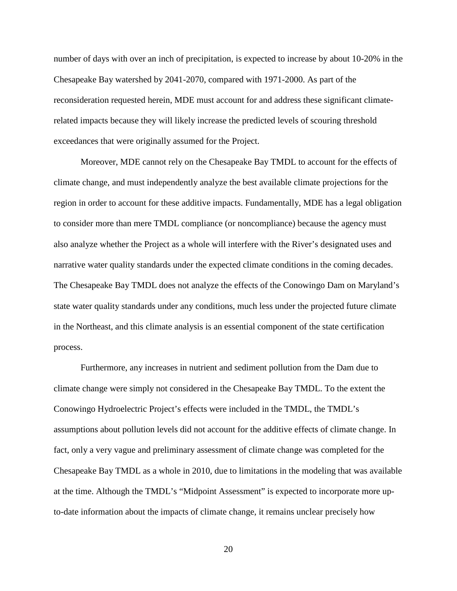number of days with over an inch of precipitation, is expected to increase by about 10-20% in the Chesapeake Bay watershed by 2041-2070, compared with 1971-2000. As part of the reconsideration requested herein, MDE must account for and address these significant climaterelated impacts because they will likely increase the predicted levels of scouring threshold exceedances that were originally assumed for the Project.

Moreover, MDE cannot rely on the Chesapeake Bay TMDL to account for the effects of climate change, and must independently analyze the best available climate projections for the region in order to account for these additive impacts. Fundamentally, MDE has a legal obligation to consider more than mere TMDL compliance (or noncompliance) because the agency must also analyze whether the Project as a whole will interfere with the River's designated uses and narrative water quality standards under the expected climate conditions in the coming decades. The Chesapeake Bay TMDL does not analyze the effects of the Conowingo Dam on Maryland's state water quality standards under any conditions, much less under the projected future climate in the Northeast, and this climate analysis is an essential component of the state certification process.

Furthermore, any increases in nutrient and sediment pollution from the Dam due to climate change were simply not considered in the Chesapeake Bay TMDL. To the extent the Conowingo Hydroelectric Project's effects were included in the TMDL, the TMDL's assumptions about pollution levels did not account for the additive effects of climate change. In fact, only a very vague and preliminary assessment of climate change was completed for the Chesapeake Bay TMDL as a whole in 2010, due to limitations in the modeling that was available at the time. Although the TMDL's "Midpoint Assessment" is expected to incorporate more upto-date information about the impacts of climate change, it remains unclear precisely how

20